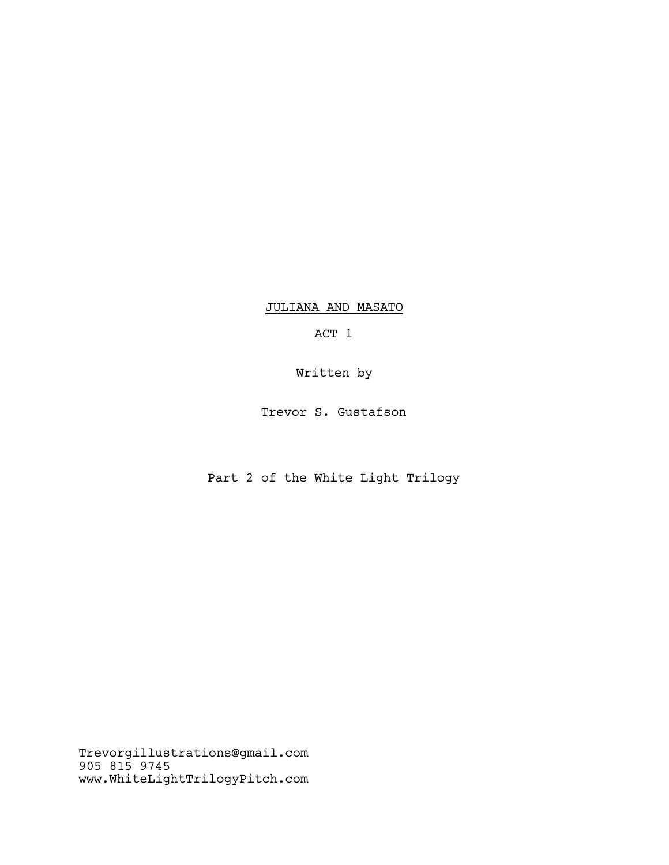JULIANA AND MASATO

ACT 1

Written by

Trevor S. Gustafson

Part 2 of the White Light Trilogy

Trevorgillustrations@gmail.com 905 815 9745 www.WhiteLightTrilogyPitch.com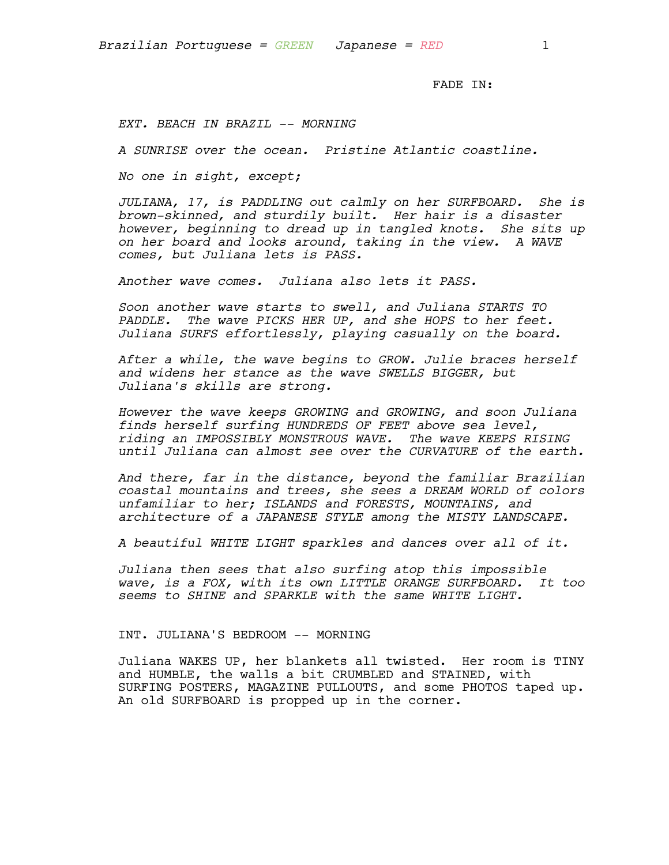FADE IN:

*EXT. BEACH IN BRAZIL -- MORNING*

*A SUNRISE over the ocean. Pristine Atlantic coastline.*

*No one in sight, except;*

*JULIANA, 17, is PADDLING out calmly on her SURFBOARD. She is brown-skinned, and sturdily built. Her hair is a disaster however, beginning to dread up in tangled knots. She sits up on her board and looks around, taking in the view. A WAVE comes, but Juliana lets is PASS.*

*Another wave comes. Juliana also lets it PASS.*

*Soon another wave starts to swell, and Juliana STARTS TO PADDLE. The wave PICKS HER UP, and she HOPS to her feet. Juliana SURFS effortlessly, playing casually on the board.*

*After a while, the wave begins to GROW. Julie braces herself and widens her stance as the wave SWELLS BIGGER, but Juliana's skills are strong.*

*However the wave keeps GROWING and GROWING, and soon Juliana finds herself surfing HUNDREDS OF FEET above sea level, riding an IMPOSSIBLY MONSTROUS WAVE. The wave KEEPS RISING until Juliana can almost see over the CURVATURE of the earth.*

*And there, far in the distance, beyond the familiar Brazilian coastal mountains and trees, she sees a DREAM WORLD of colors unfamiliar to her; ISLANDS and FORESTS, MOUNTAINS, and architecture of a JAPANESE STYLE among the MISTY LANDSCAPE.*

*A beautiful WHITE LIGHT sparkles and dances over all of it.*

*Juliana then sees that also surfing atop this impossible wave, is a FOX, with its own LITTLE ORANGE SURFBOARD. It too seems to SHINE and SPARKLE with the same WHITE LIGHT.*

INT. JULIANA'S BEDROOM -- MORNING

Juliana WAKES UP, her blankets all twisted. Her room is TINY and HUMBLE, the walls a bit CRUMBLED and STAINED, with SURFING POSTERS, MAGAZINE PULLOUTS, and some PHOTOS taped up. An old SURFBOARD is propped up in the corner.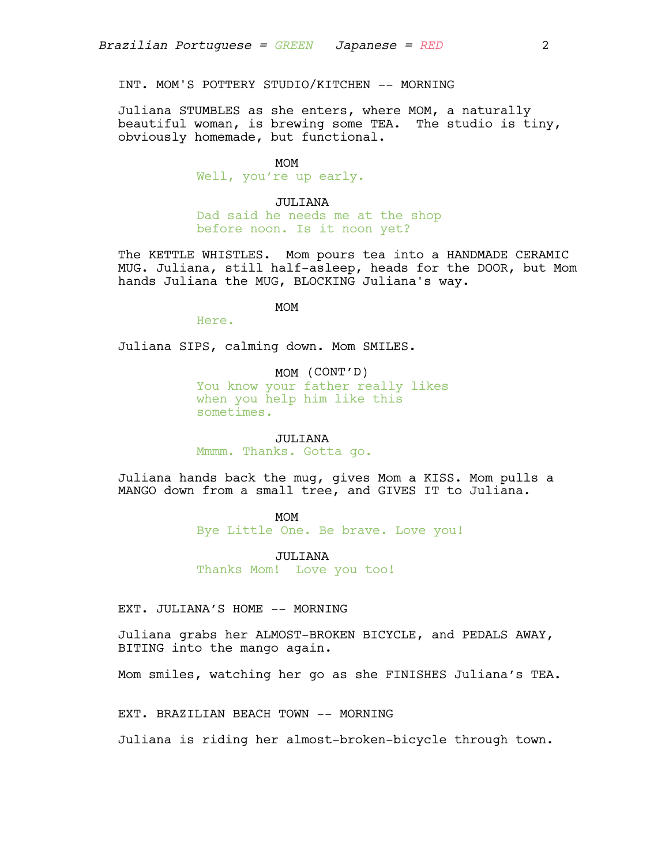INT. MOM'S POTTERY STUDIO/KITCHEN -- MORNING

Juliana STUMBLES as she enters, where MOM, a naturally beautiful woman, is brewing some TEA. The studio is tiny, obviously homemade, but functional.

#### MOM

Well, you're up early.

### JULIANA

Dad said he needs me at the shop before noon. Is it noon yet?

The KETTLE WHISTLES. Mom pours tea into a HANDMADE CERAMIC MUG. Juliana, still half-asleep, heads for the DOOR, but Mom hands Juliana the MUG, BLOCKING Juliana's way.

MOM

Here.

Juliana SIPS, calming down. Mom SMILES.

MOM (CONT'D)

You know your father really likes when you help him like this sometimes.

JULIANA Mmmm. Thanks. Gotta go.

Juliana hands back the mug, gives Mom a KISS. Mom pulls a MANGO down from a small tree, and GIVES IT to Juliana.

# MOM

Bye Little One. Be brave. Love you!

JULIANA Thanks Mom! Love you too!

EXT. JULIANA'S HOME -- MORNING

Juliana grabs her ALMOST-BROKEN BICYCLE, and PEDALS AWAY, BITING into the mango again.

Mom smiles, watching her go as she FINISHES Juliana's TEA.

EXT. BRAZILIAN BEACH TOWN -- MORNING

Juliana is riding her almost-broken-bicycle through town.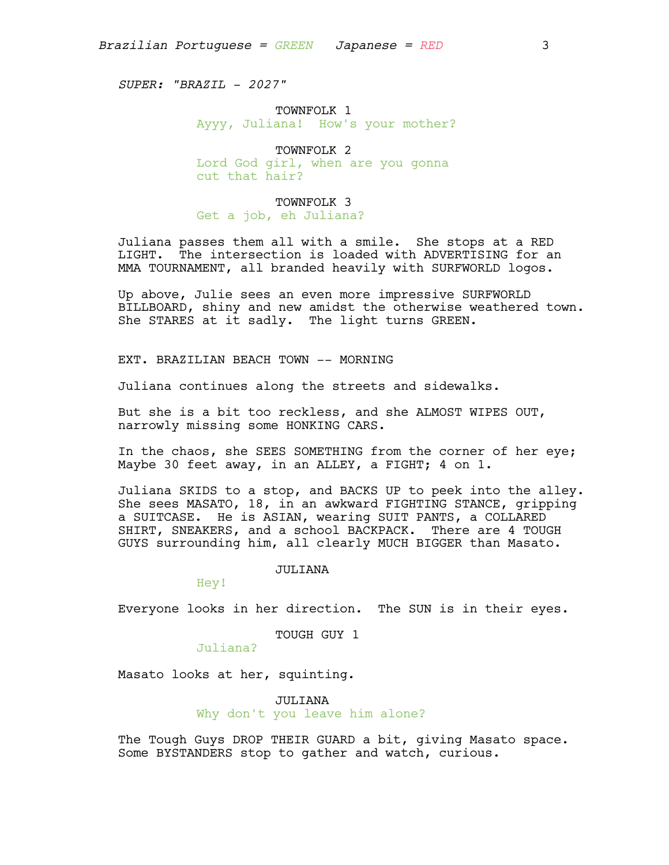*SUPER: "BRAZIL – 2027"*

# TOWNFOLK 1 Ayyy, Juliana! How's your mother?

TOWNFOLK 2 Lord God girl, when are you gonna cut that hair?

# TOWNFOLK 3

Get a job, eh Juliana?

Juliana passes them all with a smile. She stops at a RED LIGHT. The intersection is loaded with ADVERTISING for an MMA TOURNAMENT, all branded heavily with SURFWORLD logos.

Up above, Julie sees an even more impressive SURFWORLD BILLBOARD, shiny and new amidst the otherwise weathered town. She STARES at it sadly. The light turns GREEN.

EXT. BRAZILIAN BEACH TOWN -- MORNING

Juliana continues along the streets and sidewalks.

But she is a bit too reckless, and she ALMOST WIPES OUT, narrowly missing some HONKING CARS.

In the chaos, she SEES SOMETHING from the corner of her eye; Maybe 30 feet away, in an ALLEY, a FIGHT; 4 on 1.

Juliana SKIDS to a stop, and BACKS UP to peek into the alley. She sees MASATO, 18, in an awkward FIGHTING STANCE, gripping a SUITCASE. He is ASIAN, wearing SUIT PANTS, a COLLARED SHIRT, SNEAKERS, and a school BACKPACK. There are 4 TOUGH GUYS surrounding him, all clearly MUCH BIGGER than Masato.

#### JULIANA

Hey!

Everyone looks in her direction. The SUN is in their eyes.

# TOUGH GUY 1

Juliana?

Masato looks at her, squinting.

JULIANA Why don't you leave him alone?

The Tough Guys DROP THEIR GUARD a bit, giving Masato space. Some BYSTANDERS stop to gather and watch, curious.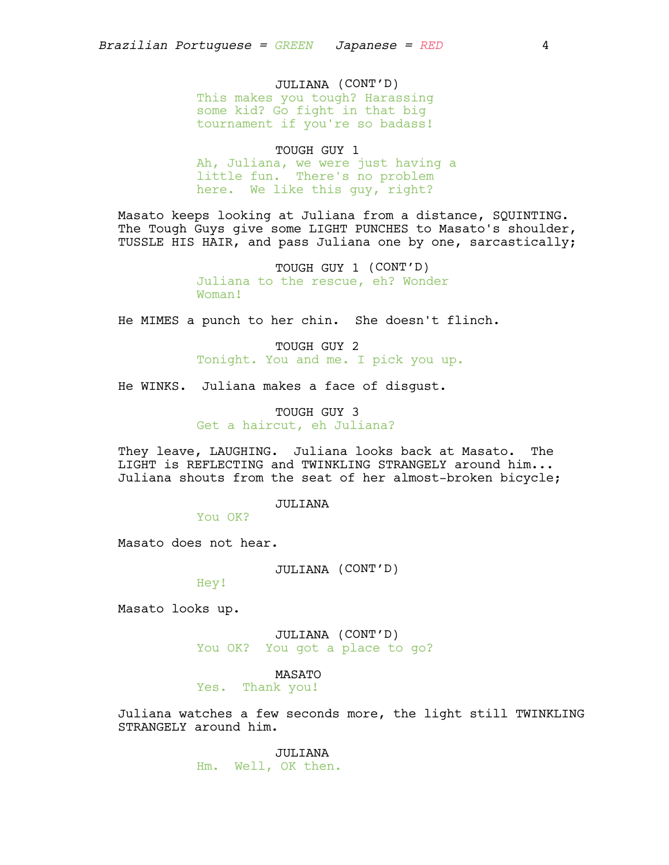# JULIANA (CONT'D)

This makes you tough? Harassing some kid? Go fight in that big tournament if you're so badass!

TOUGH GUY 1 Ah, Juliana, we were just having a little fun. There's no problem here. We like this guy, right?

Masato keeps looking at Juliana from a distance, SQUINTING. The Tough Guys give some LIGHT PUNCHES to Masato's shoulder, TUSSLE HIS HAIR, and pass Juliana one by one, sarcastically;

> TOUGH GUY 1 (CONT'D) Juliana to the rescue, eh? Wonder Woman!

He MIMES a punch to her chin. She doesn't flinch.

TOUGH GUY 2 Tonight. You and me. I pick you up.

He WINKS. Juliana makes a face of disgust.

TOUGH GUY 3 Get a haircut, eh Juliana?

They leave, LAUGHING. Juliana looks back at Masato. The LIGHT is REFLECTING and TWINKLING STRANGELY around him... Juliana shouts from the seat of her almost-broken bicycle;

JULIANA

You OK?

Masato does not hear.

JULIANA (CONT'D)

Hey!

Masato looks up.

JULIANA (CONT'D) You OK? You got a place to go?

MASATO

Yes. Thank you!

Juliana watches a few seconds more, the light still TWINKLING STRANGELY around him.

> JULIANA Hm. Well, OK then.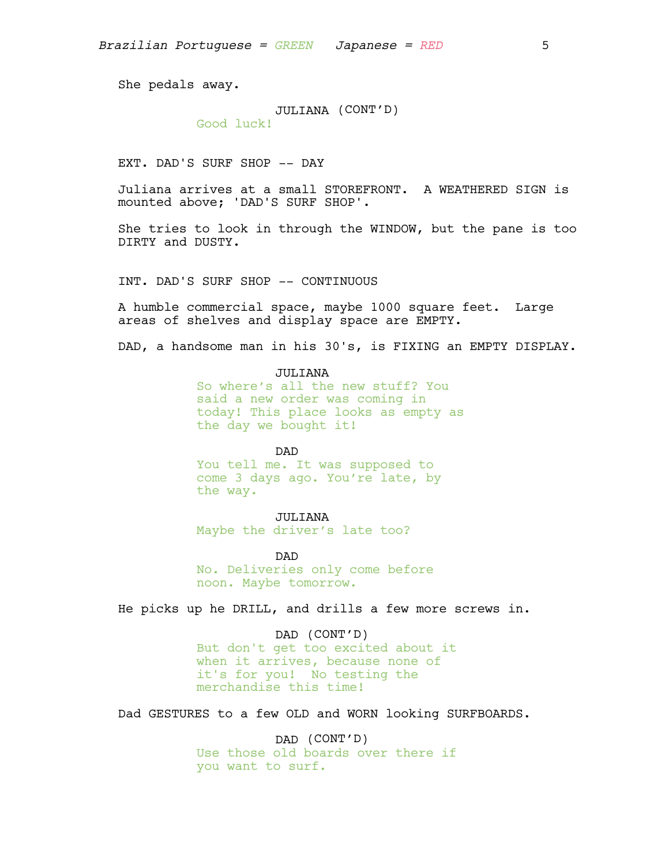She pedals away.

# JULIANA (CONT'D)

Good luck!

EXT. DAD'S SURF SHOP -- DAY

Juliana arrives at a small STOREFRONT. A WEATHERED SIGN is mounted above; 'DAD'S SURF SHOP'.

She tries to look in through the WINDOW, but the pane is too DIRTY and DUSTY.

INT. DAD'S SURF SHOP -- CONTINUOUS

A humble commercial space, maybe 1000 square feet. Large areas of shelves and display space are EMPTY.

DAD, a handsome man in his 30's, is FIXING an EMPTY DISPLAY.

JULITANA

So where's all the new stuff? You said a new order was coming in today! This place looks as empty as the day we bought it!

#### DAD

You tell me. It was supposed to come 3 days ago. You're late, by the way.

## JULIANA

Maybe the driver's late too?

DAD No. Deliveries only come before noon. Maybe tomorrow.

He picks up he DRILL, and drills a few more screws in.

DAD (CONT'D) But don't get too excited about it when it arrives, because none of it's for you! No testing the merchandise this time!

Dad GESTURES to a few OLD and WORN looking SURFBOARDS.

DAD (CONT'D) Use those old boards over there if you want to surf.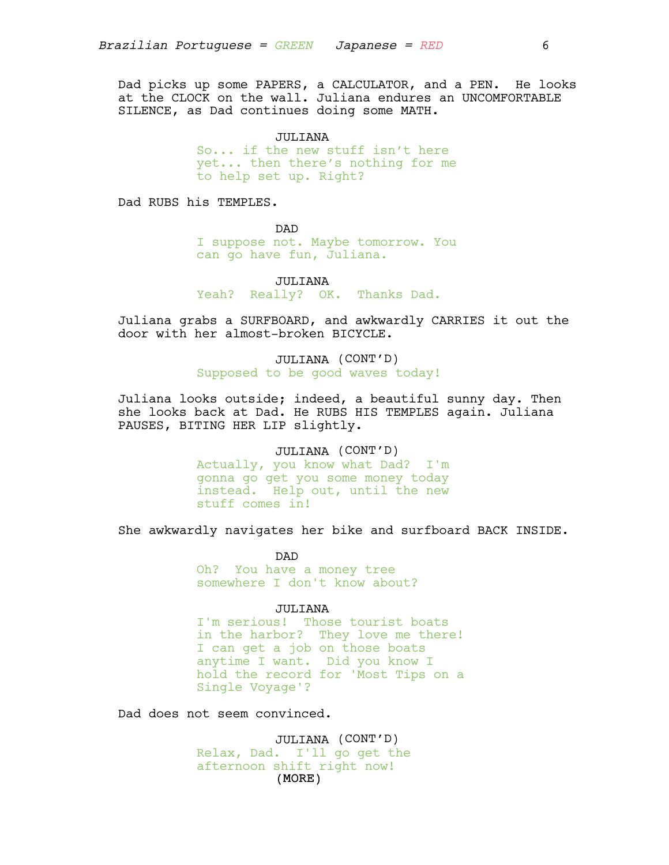Dad picks up some PAPERS, a CALCULATOR, and a PEN. He looks at the CLOCK on the wall. Juliana endures an UNCOMFORTABLE SILENCE, as Dad continues doing some MATH.

> JULIANA So... if the new stuff isn't here yet... then there's nothing for me to help set up. Right?

Dad RUBS his TEMPLES.

DAD

I suppose not. Maybe tomorrow. You can go have fun, Juliana.

JULIANA

Yeah? Really? OK. Thanks Dad.

Juliana grabs a SURFBOARD, and awkwardly CARRIES it out the door with her almost-broken BICYCLE.

> JULIANA (CONT'D) Supposed to be good waves today!

Juliana looks outside; indeed, a beautiful sunny day. Then she looks back at Dad. He RUBS HIS TEMPLES again. Juliana PAUSES, BITING HER LIP slightly.

## JULIANA (CONT'D)

Actually, you know what Dad? I'm gonna go get you some money today instead. Help out, until the new stuff comes in!

She awkwardly navigates her bike and surfboard BACK INSIDE.

DAD

Oh? You have a money tree somewhere I don't know about?

#### JULIANA

I'm serious! Those tourist boats in the harbor? They love me there! I can get a job on those boats anytime I want. Did you know I hold the record for 'Most Tips on a Single Voyage'?

Dad does not seem convinced.

(MORE) JULIANA (CONT'D) Relax, Dad. I'll go get the afternoon shift right now!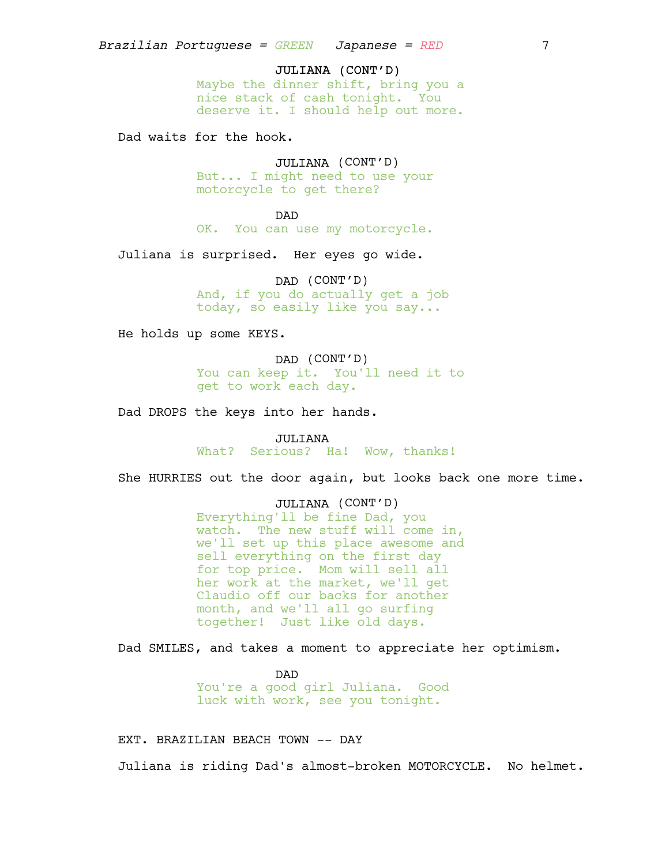### JULIANA (CONT'D)

Maybe the dinner shift, bring you a nice stack of cash tonight. You deserve it. I should help out more.

Dad waits for the hook.

JULIANA (CONT'D) But... I might need to use your motorcycle to get there?

DAD

OK. You can use my motorcycle.

Juliana is surprised. Her eyes go wide.

DAD (CONT'D) And, if you do actually get a job today, so easily like you say...

He holds up some KEYS.

DAD (CONT'D) You can keep it. You'll need it to get to work each day.

Dad DROPS the keys into her hands.

JULIANA What? Serious? Ha! Wow, thanks!

She HURRIES out the door again, but looks back one more time.

JULIANA (CONT'D)

Everything'll be fine Dad, you watch. The new stuff will come in, we'll set up this place awesome and sell everything on the first day for top price. Mom will sell all her work at the market, we'll get Claudio off our backs for another month, and we'll all go surfing together! Just like old days.

Dad SMILES, and takes a moment to appreciate her optimism.

DAD You're a good girl Juliana. Good luck with work, see you tonight.

EXT. BRAZILIAN BEACH TOWN -- DAY

Juliana is riding Dad's almost-broken MOTORCYCLE. No helmet.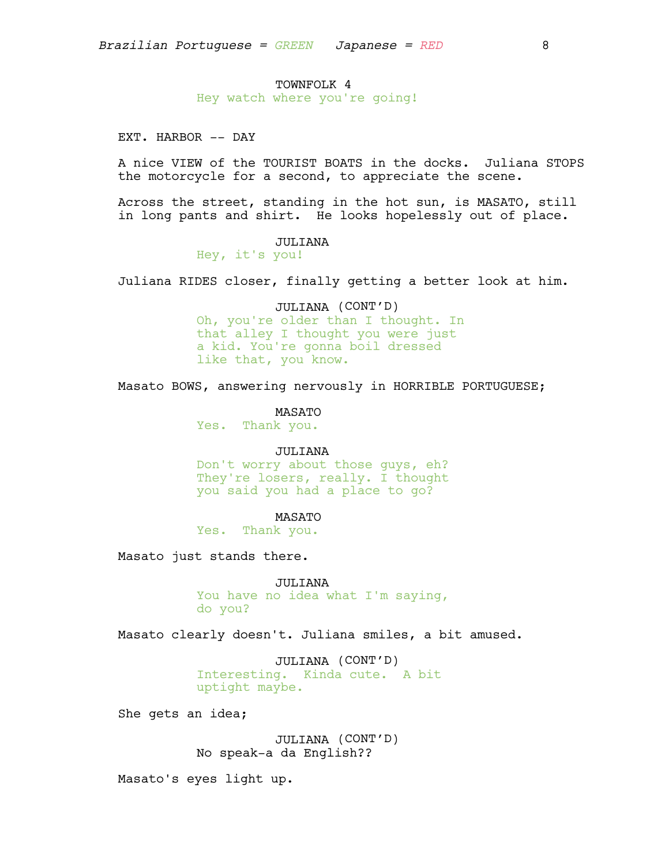# TOWNFOLK 4

Hey watch where you're going!

EXT. HARBOR -- DAY

A nice VIEW of the TOURIST BOATS in the docks. Juliana STOPS the motorcycle for a second, to appreciate the scene.

Across the street, standing in the hot sun, is MASATO, still in long pants and shirt. He looks hopelessly out of place.

#### JULIANA

Hey, it's you!

Juliana RIDES closer, finally getting a better look at him.

# JULIANA (CONT'D)

Oh, you're older than I thought. In that alley I thought you were just a kid. You're gonna boil dressed like that, you know.

Masato BOWS, answering nervously in HORRIBLE PORTUGUESE;

#### MASATO

Yes. Thank you.

# JULIANA

Don't worry about those guys, eh? They're losers, really. I thought you said you had a place to go?

#### MASATO

Yes. Thank you.

Masato just stands there.

JULIANA You have no idea what I'm saying, do you?

Masato clearly doesn't. Juliana smiles, a bit amused.

JULIANA (CONT'D) Interesting. Kinda cute. A bit uptight maybe.

She gets an idea;

JULIANA (CONT'D) No speak-a da English??

Masato's eyes light up.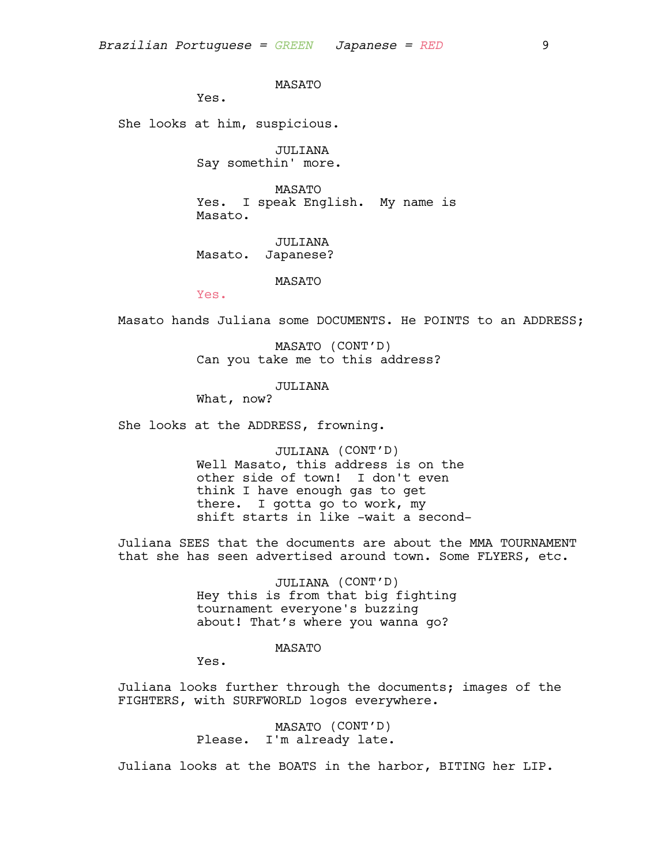MASATO

Yes.

She looks at him, suspicious.

JULIANA Say somethin' more.

MASATO Yes. I speak English. My name is Masato.

JULIANA Masato. Japanese?

MASATO

Yes.

Masato hands Juliana some DOCUMENTS. He POINTS to an ADDRESS;

MASATO (CONT'D) Can you take me to this address?

#### JULIANA

What, now?

She looks at the ADDRESS, frowning.

JULIANA (CONT'D) Well Masato, this address is on the other side of town! I don't even think I have enough gas to get there. I gotta go to work, my shift starts in like -wait a second-

Juliana SEES that the documents are about the MMA TOURNAMENT that she has seen advertised around town. Some FLYERS, etc.

> JULIANA (CONT'D) Hey this is from that big fighting tournament everyone's buzzing about! That's where you wanna go?

#### MASATO

Yes.

Juliana looks further through the documents; images of the FIGHTERS, with SURFWORLD logos everywhere.

> MASATO (CONT'D) Please. I'm already late.

Juliana looks at the BOATS in the harbor, BITING her LIP.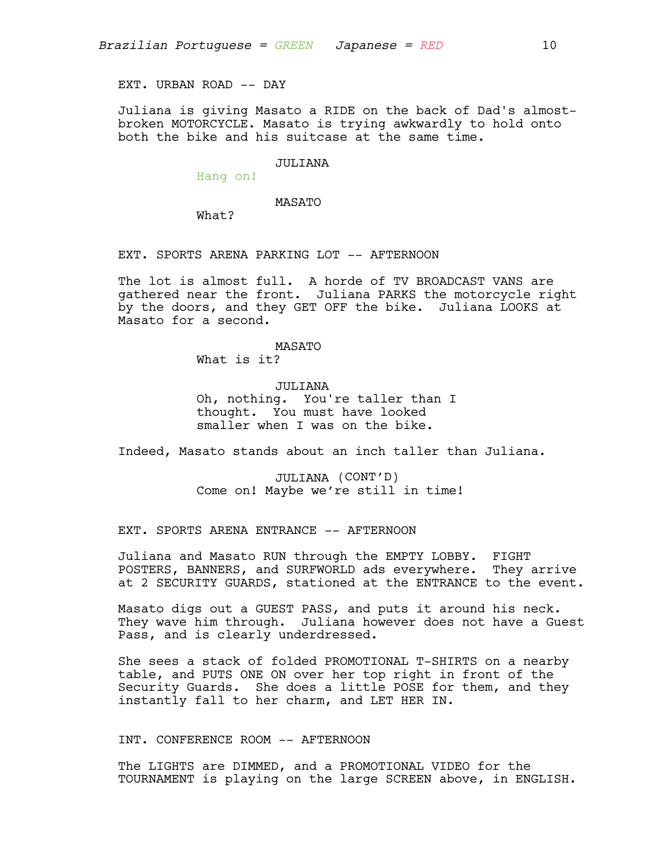EXT. URBAN ROAD -- DAY

Juliana is giving Masato a RIDE on the back of Dad's almostbroken MOTORCYCLE. Masato is trying awkwardly to hold onto both the bike and his suitcase at the same time.

## JULIANA

Hang on!

# MASATO

What?

## EXT. SPORTS ARENA PARKING LOT -- AFTERNOON

The lot is almost full. A horde of TV BROADCAST VANS are gathered near the front. Juliana PARKS the motorcycle right by the doors, and they GET OFF the bike. Juliana LOOKS at Masato for a second.

### MASATO

What is it?

# JULIANA Oh, nothing. You're taller than I thought. You must have looked smaller when I was on the bike.

Indeed, Masato stands about an inch taller than Juliana.

JULIANA (CONT'D) Come on! Maybe we're still in time!

#### EXT. SPORTS ARENA ENTRANCE -- AFTERNOON

Juliana and Masato RUN through the EMPTY LOBBY. FIGHT POSTERS, BANNERS, and SURFWORLD ads everywhere. They arrive at 2 SECURITY GUARDS, stationed at the ENTRANCE to the event.

Masato digs out a GUEST PASS, and puts it around his neck. They wave him through. Juliana however does not have a Guest Pass, and is clearly underdressed.

She sees a stack of folded PROMOTIONAL T-SHIRTS on a nearby table, and PUTS ONE ON over her top right in front of the Security Guards. She does a little POSE for them, and they instantly fall to her charm, and LET HER IN.

# INT. CONFERENCE ROOM -- AFTERNOON

The LIGHTS are DIMMED, and a PROMOTIONAL VIDEO for the TOURNAMENT is playing on the large SCREEN above, in ENGLISH.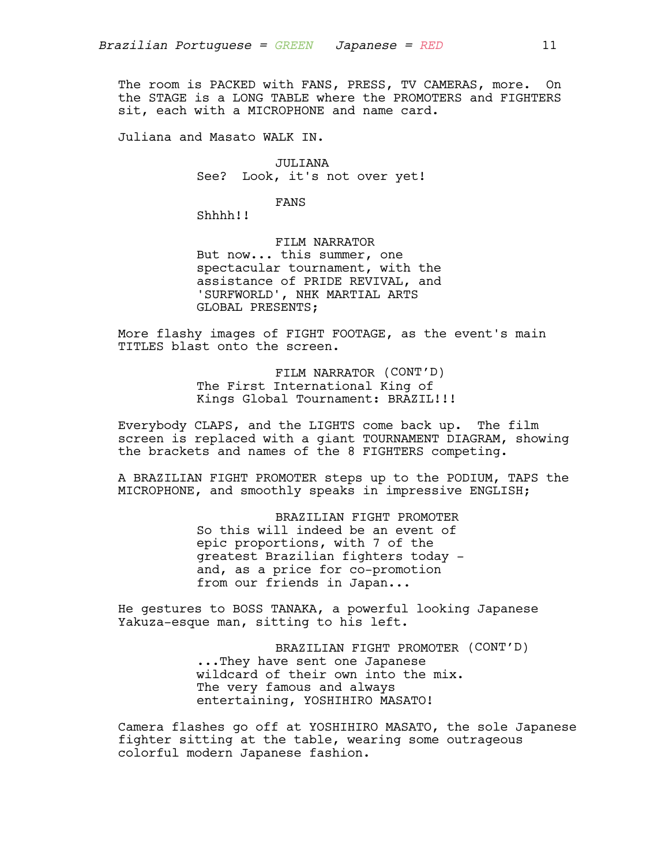The room is PACKED with FANS, PRESS, TV CAMERAS, more. On the STAGE is a LONG TABLE where the PROMOTERS and FIGHTERS sit, each with a MICROPHONE and name card.

Juliana and Masato WALK IN.

JULIANA See? Look, it's not over yet!

FANS

Shhhh!!

FILM NARRATOR But now... this summer, one spectacular tournament, with the assistance of PRIDE REVIVAL, and 'SURFWORLD', NHK MARTIAL ARTS GLOBAL PRESENTS;

More flashy images of FIGHT FOOTAGE, as the event's main TITLES blast onto the screen.

> FILM NARRATOR (CONT'D) The First International King of Kings Global Tournament: BRAZIL!!!

Everybody CLAPS, and the LIGHTS come back up. The film screen is replaced with a giant TOURNAMENT DIAGRAM, showing the brackets and names of the 8 FIGHTERS competing.

A BRAZILIAN FIGHT PROMOTER steps up to the PODIUM, TAPS the MICROPHONE, and smoothly speaks in impressive ENGLISH;

> BRAZILIAN FIGHT PROMOTER So this will indeed be an event of epic proportions, with 7 of the greatest Brazilian fighters today and, as a price for co-promotion from our friends in Japan...

He gestures to BOSS TANAKA, a powerful looking Japanese Yakuza-esque man, sitting to his left.

> BRAZILIAN FIGHT PROMOTER (CONT'D) ...They have sent one Japanese wildcard of their own into the mix. The very famous and always entertaining, YOSHIHIRO MASATO!

Camera flashes go off at YOSHIHIRO MASATO, the sole Japanese fighter sitting at the table, wearing some outrageous colorful modern Japanese fashion.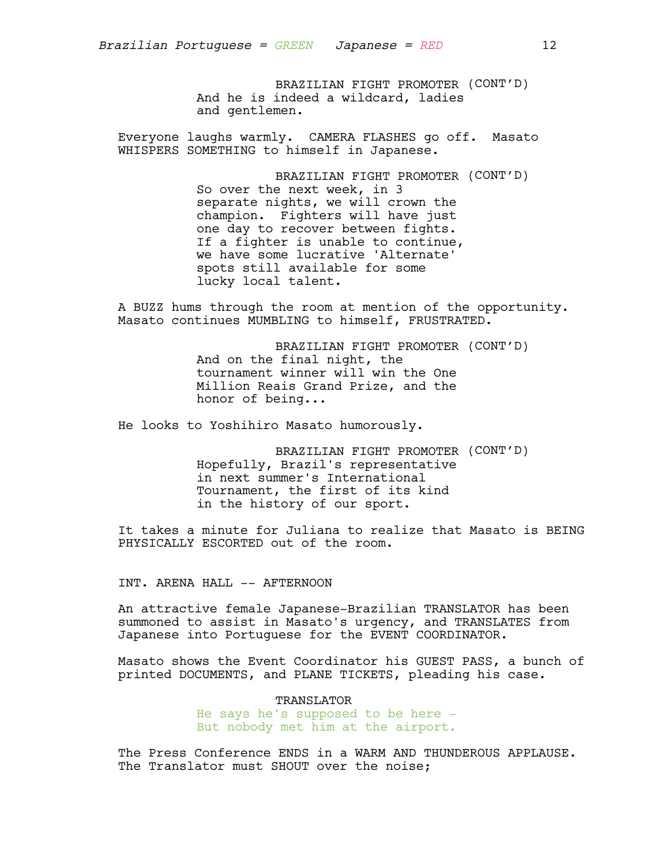BRAZILIAN FIGHT PROMOTER (CONT'D) And he is indeed a wildcard, ladies and gentlemen.

Everyone laughs warmly. CAMERA FLASHES go off. Masato WHISPERS SOMETHING to himself in Japanese.

> BRAZILIAN FIGHT PROMOTER (CONT'D) So over the next week, in 3 separate nights, we will crown the champion. Fighters will have just one day to recover between fights. If a fighter is unable to continue, we have some lucrative 'Alternate' spots still available for some lucky local talent.

A BUZZ hums through the room at mention of the opportunity. Masato continues MUMBLING to himself, FRUSTRATED.

> BRAZILIAN FIGHT PROMOTER (CONT'D) And on the final night, the tournament winner will win the One Million Reais Grand Prize, and the honor of being...

He looks to Yoshihiro Masato humorously.

BRAZILIAN FIGHT PROMOTER (CONT'D) Hopefully, Brazil's representative in next summer's International Tournament, the first of its kind in the history of our sport.

It takes a minute for Juliana to realize that Masato is BEING PHYSICALLY ESCORTED out of the room.

INT. ARENA HALL -- AFTERNOON

An attractive female Japanese-Brazilian TRANSLATOR has been summoned to assist in Masato's urgency, and TRANSLATES from Japanese into Portuguese for the EVENT COORDINATOR.

Masato shows the Event Coordinator his GUEST PASS, a bunch of printed DOCUMENTS, and PLANE TICKETS, pleading his case.

> TRANSLATOR He says he's supposed to be here - But nobody met him at the airport.

The Press Conference ENDS in a WARM AND THUNDEROUS APPLAUSE. The Translator must SHOUT over the noise;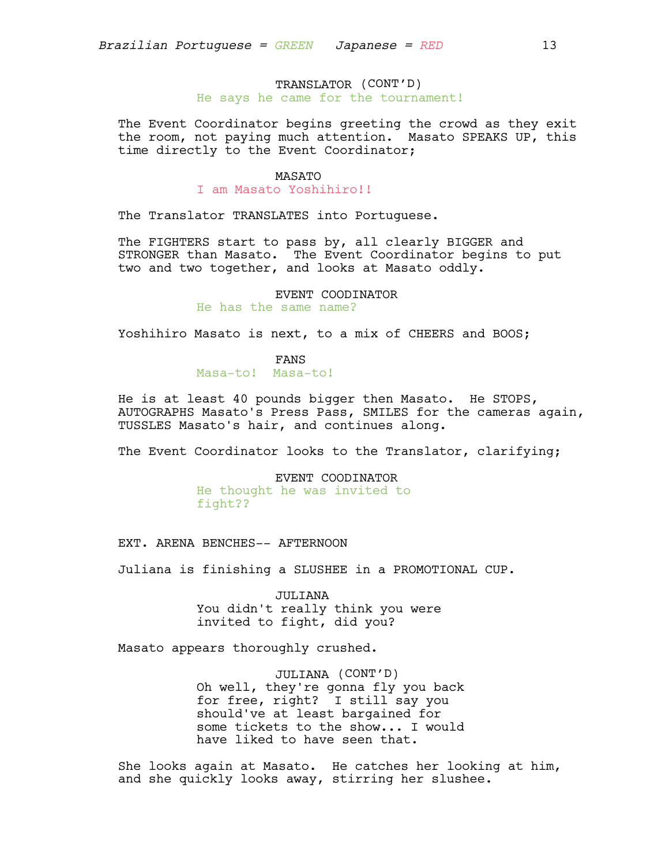# TRANSLATOR (CONT'D) He says he came for the tournament!

The Event Coordinator begins greeting the crowd as they exit the room, not paying much attention. Masato SPEAKS UP, this time directly to the Event Coordinator;

### MASATO

I am Masato Yoshihiro!!

The Translator TRANSLATES into Portuguese.

The FIGHTERS start to pass by, all clearly BIGGER and STRONGER than Masato. The Event Coordinator begins to put two and two together, and looks at Masato oddly.

> EVENT COODINATOR He has the same name?

Yoshihiro Masato is next, to a mix of CHEERS and BOOS;

FANS

Masa-to! Masa-to!

He is at least 40 pounds bigger then Masato. He STOPS, AUTOGRAPHS Masato's Press Pass, SMILES for the cameras again, TUSSLES Masato's hair, and continues along.

The Event Coordinator looks to the Translator, clarifying;

EVENT COODINATOR He thought he was invited to fight??

EXT. ARENA BENCHES-- AFTERNOON

Juliana is finishing a SLUSHEE in a PROMOTIONAL CUP.

JULIANA You didn't really think you were invited to fight, did you?

Masato appears thoroughly crushed.

JULIANA (CONT'D) Oh well, they're gonna fly you back for free, right? I still say you should've at least bargained for some tickets to the show... I would have liked to have seen that.

She looks again at Masato. He catches her looking at him, and she quickly looks away, stirring her slushee.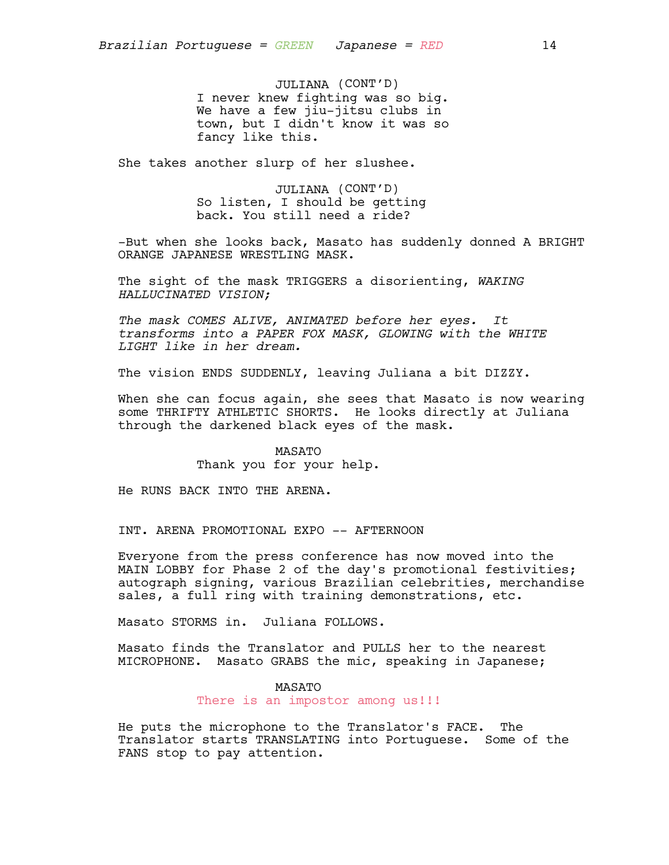JULIANA (CONT'D) I never knew fighting was so big. We have a few jiu-jitsu clubs in town, but I didn't know it was so fancy like this.

She takes another slurp of her slushee.

JULIANA (CONT'D) So listen, I should be getting back. You still need a ride?

-But when she looks back, Masato has suddenly donned A BRIGHT ORANGE JAPANESE WRESTLING MASK.

The sight of the mask TRIGGERS a disorienting, *WAKING HALLUCINATED VISION;*

*The mask COMES ALIVE, ANIMATED before her eyes. It transforms into a PAPER FOX MASK, GLOWING with the WHITE LIGHT like in her dream.*

The vision ENDS SUDDENLY, leaving Juliana a bit DIZZY.

When she can focus again, she sees that Masato is now wearing some THRIFTY ATHLETIC SHORTS. He looks directly at Juliana through the darkened black eyes of the mask.

> MASATO Thank you for your help.

He RUNS BACK INTO THE ARENA.

INT. ARENA PROMOTIONAL EXPO -- AFTERNOON

Everyone from the press conference has now moved into the MAIN LOBBY for Phase 2 of the day's promotional festivities; autograph signing, various Brazilian celebrities, merchandise sales, a full ring with training demonstrations, etc.

Masato STORMS in. Juliana FOLLOWS.

Masato finds the Translator and PULLS her to the nearest MICROPHONE. Masato GRABS the mic, speaking in Japanese;

# MASATO

There is an impostor among us!!!

He puts the microphone to the Translator's FACE. The Translator starts TRANSLATING into Portuguese. Some of the FANS stop to pay attention.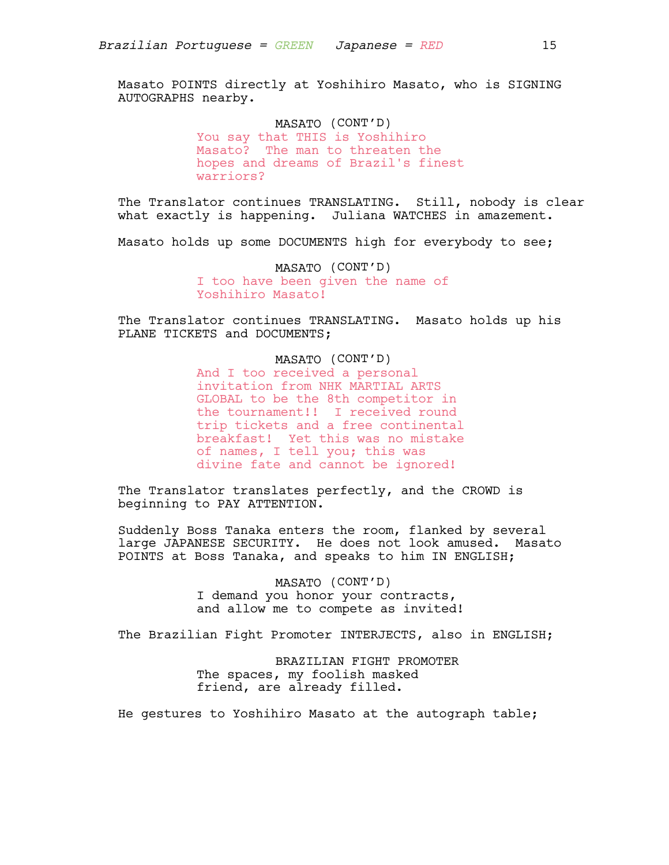Masato POINTS directly at Yoshihiro Masato, who is SIGNING AUTOGRAPHS nearby.

> MASATO (CONT'D) You say that THIS is Yoshihiro Masato? The man to threaten the hopes and dreams of Brazil's finest warriors?

The Translator continues TRANSLATING. Still, nobody is clear what exactly is happening. Juliana WATCHES in amazement.

Masato holds up some DOCUMENTS high for everybody to see;

MASATO (CONT'D) I too have been given the name of Yoshihiro Masato!

The Translator continues TRANSLATING. Masato holds up his PLANE TICKETS and DOCUMENTS;

# MASATO (CONT'D)

And I too received a personal invitation from NHK MARTIAL ARTS GLOBAL to be the 8th competitor in the tournament!! I received round trip tickets and a free continental breakfast! Yet this was no mistake of names, I tell you; this was divine fate and cannot be ignored!

The Translator translates perfectly, and the CROWD is beginning to PAY ATTENTION.

Suddenly Boss Tanaka enters the room, flanked by several large JAPANESE SECURITY. He does not look amused. Masato POINTS at Boss Tanaka, and speaks to him IN ENGLISH;

> MASATO (CONT'D) I demand you honor your contracts, and allow me to compete as invited!

The Brazilian Fight Promoter INTERJECTS, also in ENGLISH;

BRAZILIAN FIGHT PROMOTER The spaces, my foolish masked friend, are already filled.

He gestures to Yoshihiro Masato at the autograph table;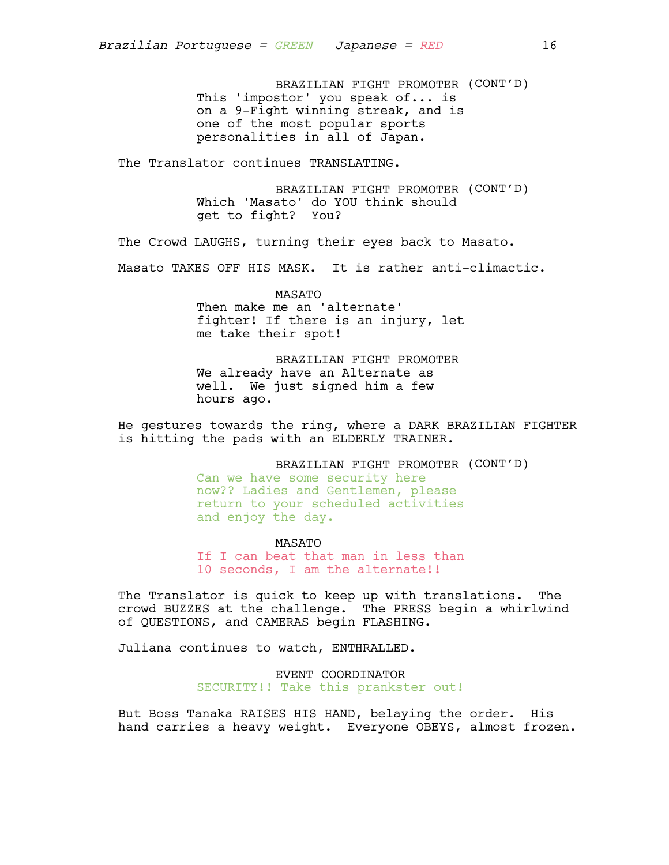BRAZILIAN FIGHT PROMOTER (CONT'D) This 'impostor' you speak of... is on a 9-Fight winning streak, and is one of the most popular sports personalities in all of Japan.

The Translator continues TRANSLATING.

BRAZILIAN FIGHT PROMOTER (CONT'D) Which 'Masato' do YOU think should get to fight? You?

The Crowd LAUGHS, turning their eyes back to Masato.

Masato TAKES OFF HIS MASK. It is rather anti-climactic.

MASATO Then make me an 'alternate' fighter! If there is an injury, let me take their spot!

BRAZILIAN FIGHT PROMOTER We already have an Alternate as well. We just signed him a few hours ago.

He gestures towards the ring, where a DARK BRAZILIAN FIGHTER is hitting the pads with an ELDERLY TRAINER.

BRAZILIAN FIGHT PROMOTER (CONT'D)

Can we have some security here now?? Ladies and Gentlemen, please return to your scheduled activities and enjoy the day.

MASATO

If I can beat that man in less than 10 seconds, I am the alternate!!

The Translator is quick to keep up with translations. The crowd BUZZES at the challenge. The PRESS begin a whirlwind of QUESTIONS, and CAMERAS begin FLASHING.

Juliana continues to watch, ENTHRALLED.

EVENT COORDINATOR SECURITY!! Take this prankster out!

But Boss Tanaka RAISES HIS HAND, belaying the order. His hand carries a heavy weight. Everyone OBEYS, almost frozen.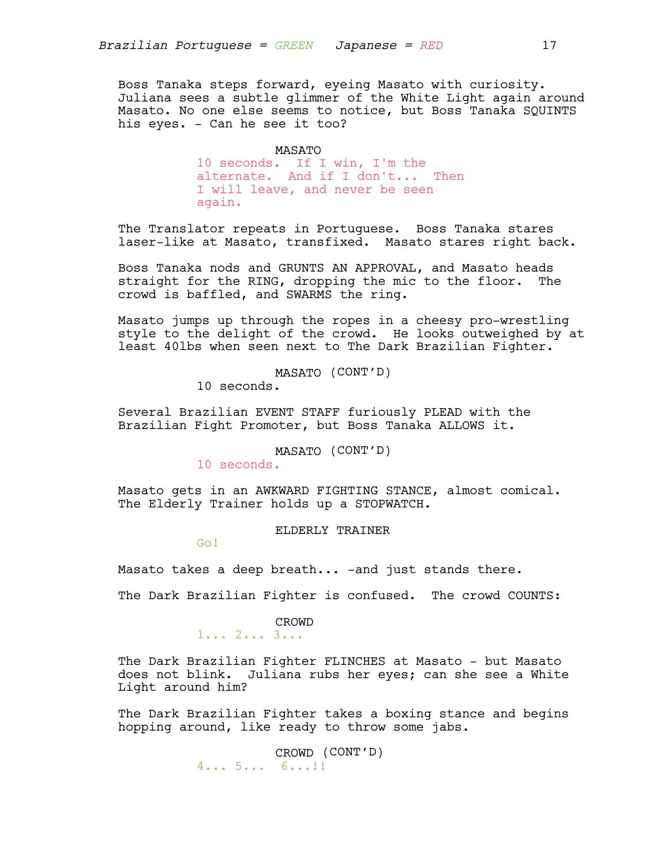Boss Tanaka steps forward, eyeing Masato with curiosity. Juliana sees a subtle glimmer of the White Light again around Masato. No one else seems to notice, but Boss Tanaka SQUINTS his eyes. - Can he see it too?

#### MASATO

10 seconds. If I win, I'm the alternate. And if I don't... Then I will leave, and never be seen again.

The Translator repeats in Portuguese. Boss Tanaka stares laser-like at Masato, transfixed. Masato stares right back.

Boss Tanaka nods and GRUNTS AN APPROVAL, and Masato heads straight for the RING, dropping the mic to the floor. The crowd is baffled, and SWARMS the ring.

Masato jumps up through the ropes in a cheesy pro-wrestling style to the delight of the crowd. He looks outweighed by at least 40lbs when seen next to The Dark Brazilian Fighter.

MASATO (CONT'D)

10 seconds.

Several Brazilian EVENT STAFF furiously PLEAD with the Brazilian Fight Promoter, but Boss Tanaka ALLOWS it.

MASATO (CONT'D)

10 seconds.

Masato gets in an AWKWARD FIGHTING STANCE, almost comical. The Elderly Trainer holds up a STOPWATCH.

ELDERLY TRAINER

Go!

Masato takes a deep breath... -and just stands there.

The Dark Brazilian Fighter is confused. The crowd COUNTS:

# CROWD

1... 2... 3...

The Dark Brazilian Fighter FLINCHES at Masato - but Masato does not blink. Juliana rubs her eyes; can she see a White Light around him?

The Dark Brazilian Fighter takes a boxing stance and begins hopping around, like ready to throw some jabs.

> CROWD (CONT'D) 4... 5... 6...!!